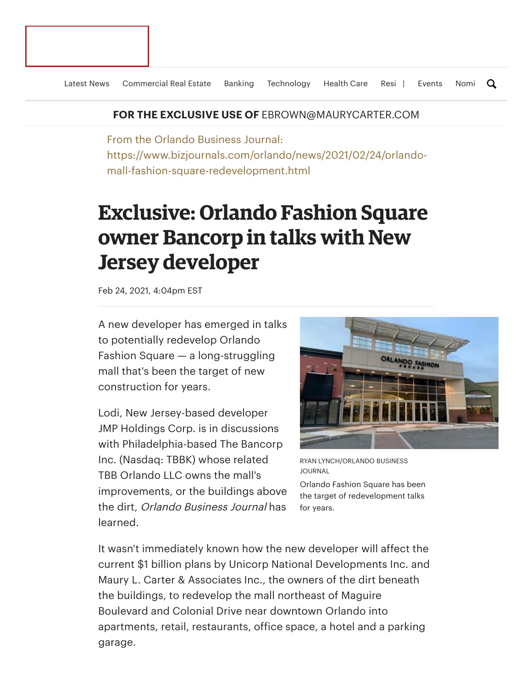## **FOR THE EXCLUSIVE USE OF** EBROWN@MAURYCARTER.COM

From the Orlando Business Journal: https://www.bizjournals.com/orlando/news/2021/02/24/orlandomall-fashion-square-redevelopment.html

## **Exclusive: Orlando Fashion Square owner Bancorp in talks with New Jersey developer**

Feb 24, 2021, 4:04pm EST

A new developer has emerged in talks to potentially redevelop Orlando Fashion Square — a long-struggling mall that's been the target of new construction for years.

Lodi, New Jersey-based developer JMP Holdings Corp. is in discussions with Philadelphia-based The Bancorp Inc. (Nasdaq: TBBK) whose related TBB Orlando LLC owns the mall's improvements, or the buildings above the dirt, Orlando Business Journal has learned.



RYAN LYNCH/ORLANDO BUSINESS JOURNAL

Orlando Fashion Square has been the target of redevelopment talks for years.

It wasn't immediately known how the new developer will affect the current \$1 billion plans by Unicorp National [Developments](https://www.bizjournals.com/orlando/news/2020/07/06/unicorp-fashion-square-mall-groundbreaking.html) Inc. and Maury L. Carter & Associates Inc., the owners of the dirt beneath the buildings, to redevelop the mall northeast of Maguire Boulevard and Colonial Drive near downtown Orlando into apartments, retail, restaurants, office space, a hotel and a parking garage.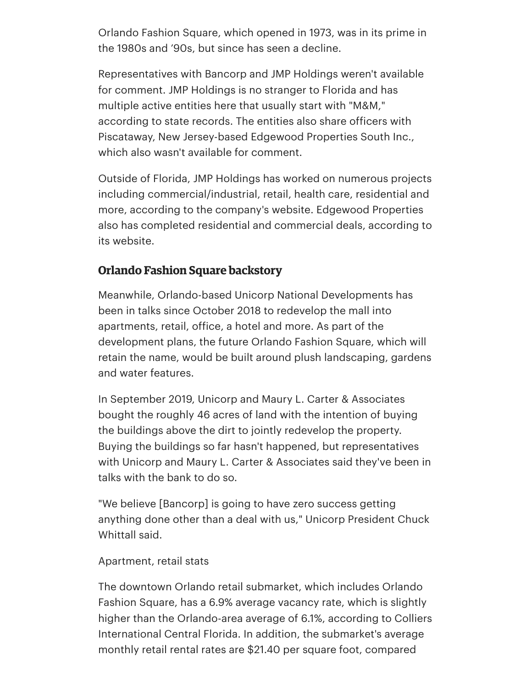Orlando Fashion Square, which opened in 1973, was in its prime in the 1980s and '90s, but since has seen a decline.

Representatives with Bancorp and JMP Holdings weren't available for comment. JMP Holdings is no stranger to Florida and has multiple active entities here that usually start with "M&M," according to state records. The entities also share officers with Piscataway, New Jersey-based Edgewood Properties South Inc., which also wasn't available for comment.

Outside of Florida, JMP Holdings has worked on numerous projects including commercial/industrial, retail, health care, residential and more, according to the [company's](https://www.jmpholdings.com/institutional.php) website. Edgewood Properties also has completed residential and [commercial](https://www.edgewoodproperties.com/) deals, according to its website.

## **Orlando Fashion Square backstory**

Meanwhile, [Orlando-based](https://www.bizjournals.com/orlando/news/2018/10/10/exclusive-unicorps-chuck-whittall-to-redevelop.html) Unicorp National Developments has been in talks since October 2018 to redevelop the mall into apartments, retail, office, a hotel and more. As part of the development plans, the future Orlando Fashion Square, which will retain the name, would be built around plush landscaping, gardens and water features.

In September 2019, Unicorp and Maury L. Carter & Associates bought the [roughly](https://www.bizjournals.com/orlando/news/2019/09/27/unicorp-partners-secure-orlando-fashion-square.html) 46 acres of land with the intention of buying the buildings above the dirt to jointly redevelop the property. Buying the buildings so far hasn't happened, but representatives with Unicorp and Maury L. Carter & Associates said they've been in talks with the bank to do so.

"We believe [Bancorp] is going to have zero success getting anything done other than a deal with us," Unicorp [President](https://www.bizjournals.com/orlando/search/results?q=Chuck%20Whittall) Chuck Whittall said.

## Apartment, retail stats

The downtown Orlando retail submarket, which includes Orlando Fashion Square, has a 6.9% average vacancy rate, which is slightly higher than the Orlando-area average of 6.1%, according to Colliers International Central Florida. In addition, the submarket's average monthly retail rental rates are \$21.40 per square foot, compared